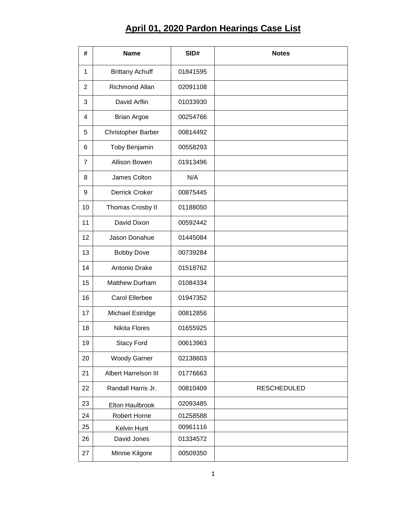## **April 01, 2020 Pardon Hearings Case List**

| #              | <b>Name</b>               | SID#     | <b>Notes</b>       |
|----------------|---------------------------|----------|--------------------|
| 1              | <b>Brittany Achuff</b>    | 01841595 |                    |
| 2              | <b>Richmond Allan</b>     | 02091108 |                    |
| 3              | David Arflin              | 01033930 |                    |
| 4              | <b>Brian Argoe</b>        | 00254766 |                    |
| 5              | <b>Christopher Barber</b> | 00814492 |                    |
| 6              | Toby Benjamin             | 00558293 |                    |
| $\overline{7}$ | <b>Allison Bowen</b>      | 01913496 |                    |
| 8              | James Colton              | N/A      |                    |
| 9              | <b>Derrick Croker</b>     | 00875445 |                    |
| 10             | Thomas Crosby II          | 01188050 |                    |
| 11             | David Dixon               | 00592442 |                    |
| 12             | Jason Donahue             | 01445084 |                    |
| 13             | <b>Bobby Dove</b>         | 00739284 |                    |
| 14             | Antonio Drake             | 01518762 |                    |
| 15             | <b>Matthew Durham</b>     | 01084334 |                    |
| 16             | <b>Carol Ellerbee</b>     | 01947352 |                    |
| 17             | Michael Estridge          | 00812856 |                    |
| 18             | <b>Nikita Flores</b>      | 01655925 |                    |
| 19             | <b>Stacy Ford</b>         | 00613963 |                    |
| 20             | <b>Woody Garner</b>       | 02138603 |                    |
| 21             | Albert Harrelson III      | 01776663 |                    |
| 22             | Randall Harris Jr.        | 00810409 | <b>RESCHEDULED</b> |
| 23             | Elton Haulbrook           | 02093485 |                    |
| 24             | Robert Horne              | 01258588 |                    |
| 25             | Kelvin Hunt               | 00961116 |                    |
| 26             | David Jones               | 01334572 |                    |
| 27             | Minnie Kilgore            | 00509350 |                    |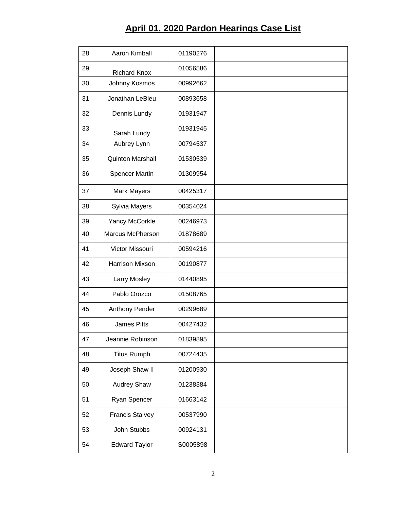## **April 01, 2020 Pardon Hearings Case List**

| 28 | Aaron Kimball           | 01190276 |  |
|----|-------------------------|----------|--|
| 29 | <b>Richard Knox</b>     | 01056586 |  |
| 30 | Johnny Kosmos           | 00992662 |  |
| 31 | Jonathan LeBleu         | 00893658 |  |
| 32 | Dennis Lundy            | 01931947 |  |
| 33 | Sarah Lundy             | 01931945 |  |
| 34 | Aubrey Lynn             | 00794537 |  |
| 35 | <b>Quinton Marshall</b> | 01530539 |  |
| 36 | <b>Spencer Martin</b>   | 01309954 |  |
| 37 | <b>Mark Mayers</b>      | 00425317 |  |
| 38 | Sylvia Mayers           | 00354024 |  |
| 39 | Yancy McCorkle          | 00246973 |  |
| 40 | <b>Marcus McPherson</b> | 01878689 |  |
| 41 | Victor Missouri         | 00594216 |  |
| 42 | <b>Harrison Mixson</b>  | 00190877 |  |
| 43 | Larry Mosley            | 01440895 |  |
| 44 | Pablo Orozco            | 01508765 |  |
| 45 | Anthony Pender          | 00299689 |  |
| 46 | <b>James Pitts</b>      | 00427432 |  |
| 47 | Jeannie Robinson        | 01839895 |  |
| 48 | <b>Titus Rumph</b>      | 00724435 |  |
| 49 | Joseph Shaw II          | 01200930 |  |
| 50 | <b>Audrey Shaw</b>      | 01238384 |  |
| 51 | Ryan Spencer            | 01663142 |  |
| 52 | <b>Francis Stalvey</b>  | 00537990 |  |
| 53 | John Stubbs             | 00924131 |  |
| 54 | <b>Edward Taylor</b>    | S0005898 |  |